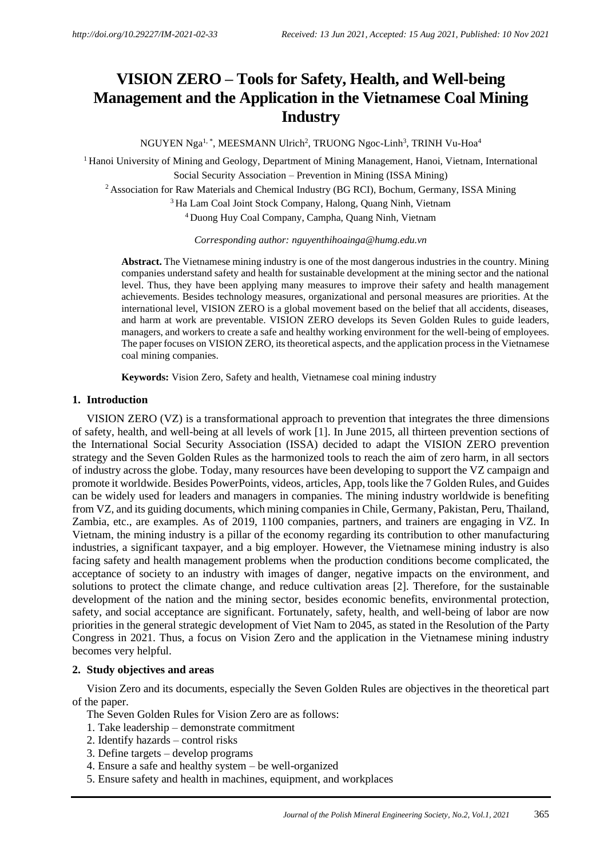# **VISION ZERO – Tools for Safety, Health, and Well-being Management and the Application in the Vietnamese Coal Mining Industry**

NGUYEN Nga $^{\rm l, \, *},$  MEESMANN Ulrich $^{\rm 2}$ , TRUONG Ngoc-Linh $^{\rm 3}$ , TRINH Vu-Hoa $^{\rm 4}$ 

<sup>1</sup> Hanoi University of Mining and Geology, Department of Mining Management, Hanoi, Vietnam, International Social Security Association – Prevention in Mining (ISSA Mining)

<sup>2</sup> Association for Raw Materials and Chemical Industry (BG RCI), Bochum, Germany, ISSA Mining

<sup>3</sup> Ha Lam Coal Joint Stock Company, Halong, Quang Ninh, Vietnam

<sup>4</sup> Duong Huy Coal Company, Campha, Quang Ninh, Vietnam

*Corresponding author: nguyenthihoainga@humg.edu.vn*

**Abstract.** The Vietnamese mining industry is one of the most dangerous industries in the country. Mining companies understand safety and health for sustainable development at the mining sector and the national level. Thus, they have been applying many measures to improve their safety and health management achievements. Besides technology measures, organizational and personal measures are priorities. At the international level, VISION ZERO is a global movement based on the belief that all accidents, diseases, and harm at work are preventable. VISION ZERO develops its Seven Golden Rules to guide leaders, managers, and workers to create a safe and healthy working environment for the well-being of employees. The paper focuses on VISION ZERO, its theoretical aspects, and the application process in the Vietnamese coal mining companies.

**Keywords:** Vision Zero, Safety and health, Vietnamese coal mining industry

## **1. Introduction**

VISION ZERO (VZ) is a transformational approach to prevention that integrates the three dimensions of safety, health, and well-being at all levels of work [1]. In June 2015, all thirteen prevention sections of the International Social Security Association (ISSA) decided to adapt the VISION ZERO prevention strategy and the Seven Golden Rules as the harmonized tools to reach the aim of zero harm, in all sectors of industry across the globe. Today, many resources have been developing to support the VZ campaign and promote it worldwide. Besides PowerPoints, videos, articles, App, tools like the 7 Golden Rules, and Guides can be widely used for leaders and managers in companies. The mining industry worldwide is benefiting from VZ, and its guiding documents, which mining companies in Chile, Germany, Pakistan, Peru, Thailand, Zambia, etc., are examples. As of 2019, 1100 companies, partners, and trainers are engaging in VZ. In Vietnam, the mining industry is a pillar of the economy regarding its contribution to other manufacturing industries, a significant taxpayer, and a big employer. However, the Vietnamese mining industry is also facing safety and health management problems when the production conditions become complicated, the acceptance of society to an industry with images of danger, negative impacts on the environment, and solutions to protect the climate change, and reduce cultivation areas [2]. Therefore, for the sustainable development of the nation and the mining sector, besides economic benefits, environmental protection, safety, and social acceptance are significant. Fortunately, safety, health, and well-being of labor are now priorities in the general strategic development of Viet Nam to 2045, as stated in the Resolution of the Party Congress in 2021. Thus, a focus on Vision Zero and the application in the Vietnamese mining industry becomes very helpful.

#### **2. Study objectives and areas**

Vision Zero and its documents, especially the Seven Golden Rules are objectives in the theoretical part of the paper.

The Seven Golden Rules for Vision Zero are as follows:

- 1. Take leadership demonstrate commitment
- 2. Identify hazards control risks
- 3. Define targets develop programs
- 4. Ensure a safe and healthy system be well-organized
- 5. Ensure safety and health in machines, equipment, and workplaces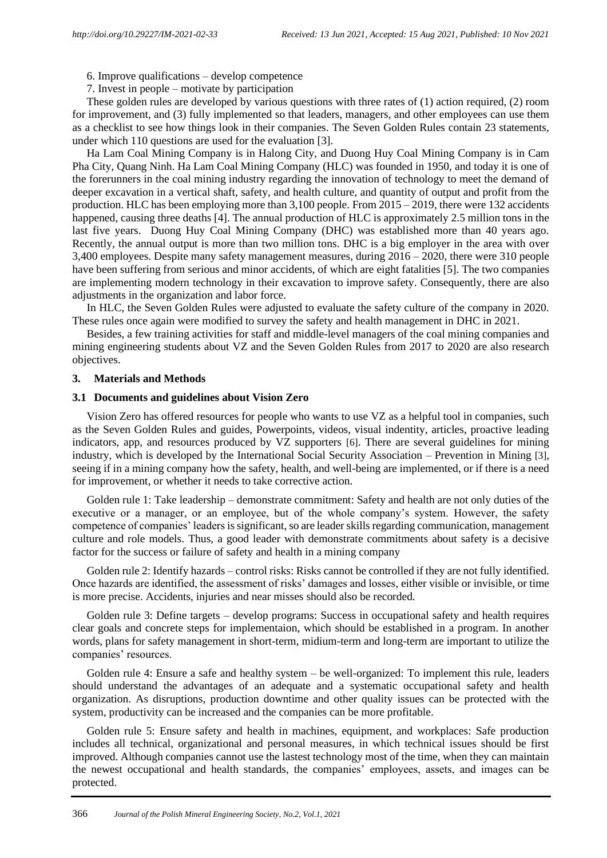6. Improve qualifications – develop competence

7. Invest in people – motivate by participation

These golden rules are developed by various questions with three rates of (1) action required, (2) room for improvement, and (3) fully implemented so that leaders, managers, and other employees can use them as a checklist to see how things look in their companies. The Seven Golden Rules contain 23 statements, under which 110 questions are used for the evaluation [3].

Ha Lam Coal Mining Company is in Halong City, and Duong Huy Coal Mining Company is in Cam Pha City, Quang Ninh. Ha Lam Coal Mining Company (HLC) was founded in 1950, and today it is one of the forerunners in the coal mining industry regarding the innovation of technology to meet the demand of deeper excavation in a vertical shaft, safety, and health culture, and quantity of output and profit from the production. HLC has been employing more than 3,100 people. From 2015 – 2019, there were 132 accidents happened, causing three deaths [4]. The annual production of HLC is approximately 2.5 million tons in the last five years. Duong Huy Coal Mining Company (DHC) was established more than 40 years ago. Recently, the annual output is more than two million tons. DHC is a big employer in the area with over 3,400 employees. Despite many safety management measures, during 2016 – 2020, there were 310 people have been suffering from serious and minor accidents, of which are eight fatalities [5]. The two companies are implementing modern technology in their excavation to improve safety. Consequently, there are also adjustments in the organization and labor force.

In HLC, the Seven Golden Rules were adjusted to evaluate the safety culture of the company in 2020. These rules once again were modified to survey the safety and health management in DHC in 2021.

Besides, a few training activities for staff and middle-level managers of the coal mining companies and mining engineering students about VZ and the Seven Golden Rules from 2017 to 2020 are also research objectives.

## **3. Materials and Methods**

#### **3.1 Documents and guidelines about Vision Zero**

Vision Zero has offered resources for people who wants to use VZ as a helpful tool in companies, such as the Seven Golden Rules and guides, Powerpoints, videos, visual indentity, articles, proactive leading indicators, app, and resources produced by VZ supporters [6]. There are several guidelines for mining industry, which is developed by the International Social Security Association – Prevention in Mining [3], seeing if in a mining company how the safety, health, and well-being are implemented, or if there is a need for improvement, or whether it needs to take corrective action.

Golden rule 1: Take leadership – demonstrate commitment: Safety and health are not only duties of the executive or a manager, or an employee, but of the whole company's system. However, the safety competence of companies' leaders issignificant, so are leader skills regarding communication, management culture and role models. Thus, a good leader with demonstrate commitments about safety is a decisive factor for the success or failure of safety and health in a mining company

Golden rule 2: Identify hazards – control risks: Risks cannot be controlled if they are not fully identified. Once hazards are identified, the assessment of risks' damages and losses, either visible or invisible, or time is more precise. Accidents, injuries and near misses should also be recorded.

Golden rule 3: Define targets – develop programs: Success in occupational safety and health requires clear goals and concrete steps for implementaion, which should be established in a program. In another words, plans for safety management in short-term, midium-term and long-term are important to utilize the companies' resources.

Golden rule 4: Ensure a safe and healthy system – be well-organized: To implement this rule, leaders should understand the advantages of an adequate and a systematic occupational safety and health organization. As disruptions, production downtime and other quality issues can be protected with the system, productivity can be increased and the companies can be more profitable.

Golden rule 5: Ensure safety and health in machines, equipment, and workplaces: Safe production includes all technical, organizational and personal measures, in which technical issues should be first improved. Although companies cannot use the lastest technology most of the time, when they can maintain the newest occupational and health standards, the companies' employees, assets, and images can be protected.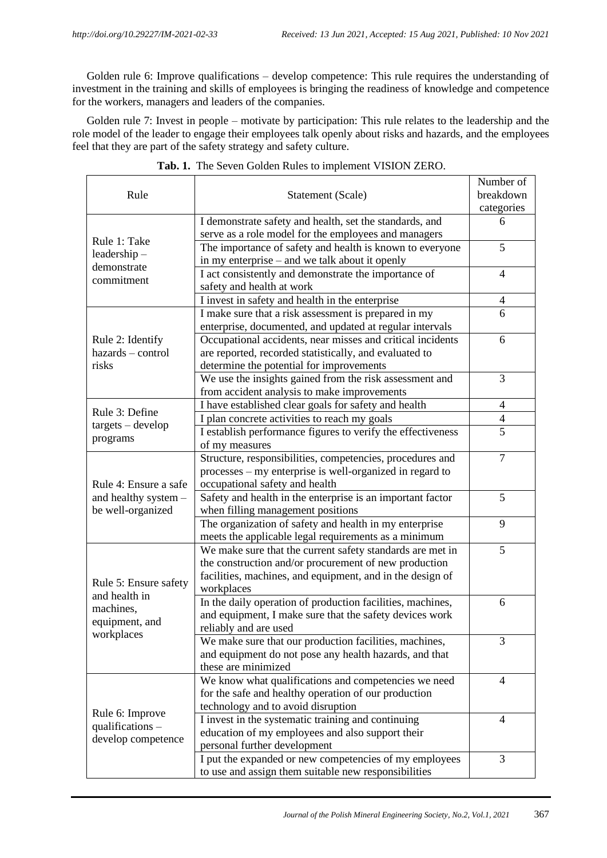Golden rule 6: Improve qualifications – develop competence: This rule requires the understanding of investment in the training and skills of employees is bringing the readiness of knowledge and competence for the workers, managers and leaders of the companies.

Golden rule 7: Invest in people – motivate by participation: This rule relates to the leadership and the role model of the leader to engage their employees talk openly about risks and hazards, and the employees feel that they are part of the safety strategy and safety culture.

|                           |                                                             | Number of      |
|---------------------------|-------------------------------------------------------------|----------------|
| Rule                      | Statement (Scale)                                           | breakdown      |
|                           |                                                             | categories     |
|                           | I demonstrate safety and health, set the standards, and     | 6              |
|                           | serve as a role model for the employees and managers        |                |
| Rule 1: Take              | The importance of safety and health is known to everyone    | 5              |
| $leadership -$            | in my enterprise - and we talk about it openly              |                |
| demonstrate<br>commitment | I act consistently and demonstrate the importance of        | $\overline{4}$ |
|                           | safety and health at work                                   |                |
|                           | I invest in safety and health in the enterprise             | 4              |
|                           | I make sure that a risk assessment is prepared in my        | 6              |
|                           | enterprise, documented, and updated at regular intervals    |                |
| Rule 2: Identify          | Occupational accidents, near misses and critical incidents  | 6              |
| hazards - control         | are reported, recorded statistically, and evaluated to      |                |
| risks                     | determine the potential for improvements                    |                |
|                           | We use the insights gained from the risk assessment and     | 3              |
|                           | from accident analysis to make improvements                 |                |
|                           | I have established clear goals for safety and health        | $\overline{4}$ |
| Rule 3: Define            | I plan concrete activities to reach my goals                | $\overline{4}$ |
| $targets - develop$       | I establish performance figures to verify the effectiveness | 5              |
| programs                  | of my measures                                              |                |
|                           | Structure, responsibilities, competencies, procedures and   | 7              |
|                           | processes – my enterprise is well-organized in regard to    |                |
| Rule 4: Ensure a safe     | occupational safety and health                              |                |
| and healthy system -      | Safety and health in the enterprise is an important factor  | 5              |
| be well-organized         | when filling management positions                           |                |
|                           | The organization of safety and health in my enterprise      | 9              |
|                           | meets the applicable legal requirements as a minimum        |                |
|                           | We make sure that the current safety standards are met in   | 5              |
|                           | the construction and/or procurement of new production       |                |
| Rule 5: Ensure safety     | facilities, machines, and equipment, and in the design of   |                |
| and health in             | workplaces                                                  |                |
| machines,                 | In the daily operation of production facilities, machines,  | 6              |
| equipment, and            | and equipment, I make sure that the safety devices work     |                |
| workplaces                | reliably and are used                                       |                |
|                           | We make sure that our production facilities, machines,      | 3              |
|                           | and equipment do not pose any health hazards, and that      |                |
|                           | these are minimized                                         |                |
|                           | We know what qualifications and competencies we need        | 4              |
|                           | for the safe and healthy operation of our production        |                |
| Rule 6: Improve           | technology and to avoid disruption                          |                |
| qualifications $-$        | I invest in the systematic training and continuing          | 4              |
| develop competence        | education of my employees and also support their            |                |
|                           | personal further development                                |                |
|                           | I put the expanded or new competencies of my employees      | 3              |
|                           | to use and assign them suitable new responsibilities        |                |

#### **Tab. 1.** The Seven Golden Rules to implement VISION ZERO.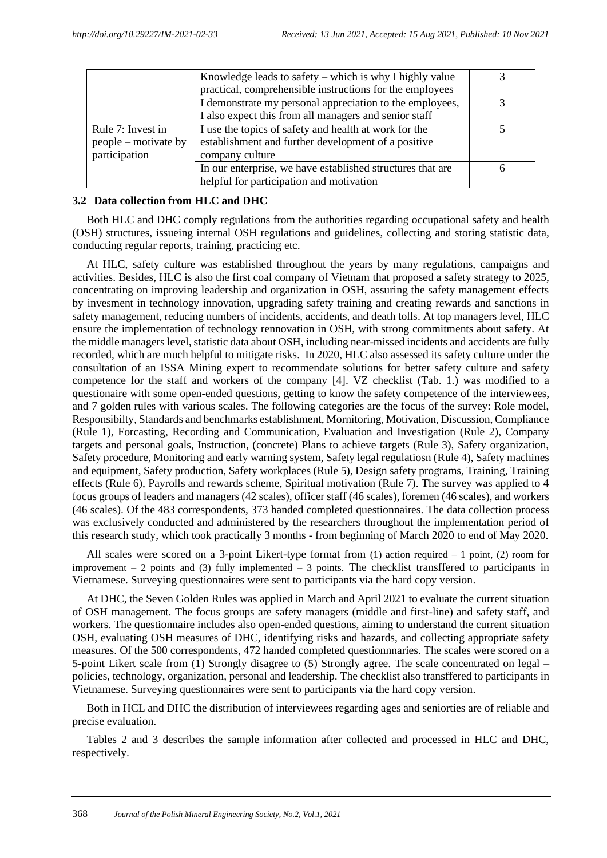|                      | Knowledge leads to safety $-$ which is why I highly value  |  |
|----------------------|------------------------------------------------------------|--|
|                      | practical, comprehensible instructions for the employees   |  |
|                      | I demonstrate my personal appreciation to the employees,   |  |
|                      | I also expect this from all managers and senior staff      |  |
| Rule 7: Invest in    | I use the topics of safety and health at work for the      |  |
| people – motivate by | establishment and further development of a positive        |  |
| participation        | company culture                                            |  |
|                      | In our enterprise, we have established structures that are |  |
|                      | helpful for participation and motivation                   |  |

## **3.2 Data collection from HLC and DHC**

Both HLC and DHC comply regulations from the authorities regarding occupational safety and health (OSH) structures, issueing internal OSH regulations and guidelines, collecting and storing statistic data, conducting regular reports, training, practicing etc.

At HLC, safety culture was established throughout the years by many regulations, campaigns and activities. Besides, HLC is also the first coal company of Vietnam that proposed a safety strategy to 2025, concentrating on improving leadership and organization in OSH, assuring the safety management effects by invesment in technology innovation, upgrading safety training and creating rewards and sanctions in safety management, reducing numbers of incidents, accidents, and death tolls. At top managers level, HLC ensure the implementation of technology rennovation in OSH, with strong commitments about safety. At the middle managers level, statistic data about OSH, including near-missed incidents and accidents are fully recorded, which are much helpful to mitigate risks. In 2020, HLC also assessed its safety culture under the consultation of an ISSA Mining expert to recommendate solutions for better safety culture and safety competence for the staff and workers of the company [4]. VZ checklist (Tab. 1.) was modified to a questionaire with some open-ended questions, getting to know the safety competence of the interviewees, and 7 golden rules with various scales. The following categories are the focus of the survey: Role model, Responsibilty, Standards and benchmarks establishment, Mornitoring, Motivation, Discussion, Compliance (Rule 1), Forcasting, Recording and Communication, Evaluation and Investigation (Rule 2), Company targets and personal goals, Instruction, (concrete) Plans to achieve targets (Rule 3), Safety organization, Safety procedure, Monitoring and early warning system, Safety legal regulatiosn (Rule 4), Safety machines and equipment, Safety production, Safety workplaces (Rule 5), Design safety programs, Training, Training effects (Rule 6), Payrolls and rewards scheme, Spiritual motivation (Rule 7). The survey was applied to 4 focus groups of leaders and managers (42 scales), officer staff (46 scales), foremen (46 scales), and workers (46 scales). Of the 483 correspondents, 373 handed completed questionnaires. The data collection process was exclusively conducted and administered by the researchers throughout the implementation period of this research study, which took practically 3 months - from beginning of March 2020 to end of May 2020.

All scales were scored on a 3-point Likert-type format from (1) action required – 1 point, (2) room for improvement  $-2$  points and (3) fully implemented  $-3$  points. The checklist transffered to participants in Vietnamese. Surveying questionnaires were sent to participants via the hard copy version.

At DHC, the Seven Golden Rules was applied in March and April 2021 to evaluate the current situation of OSH management. The focus groups are safety managers (middle and first-line) and safety staff, and workers. The questionnaire includes also open-ended questions, aiming to understand the current situation OSH, evaluating OSH measures of DHC, identifying risks and hazards, and collecting appropriate safety measures. Of the 500 correspondents, 472 handed completed questionnnaries. The scales were scored on a 5-point Likert scale from (1) Strongly disagree to (5) Strongly agree. The scale concentrated on legal – policies, technology, organization, personal and leadership. The checklist also transffered to participants in Vietnamese. Surveying questionnaires were sent to participants via the hard copy version.

Both in HCL and DHC the distribution of interviewees regarding ages and seniorties are of reliable and precise evaluation.

Tables 2 and 3 describes the sample information after collected and processed in HLC and DHC, respectively.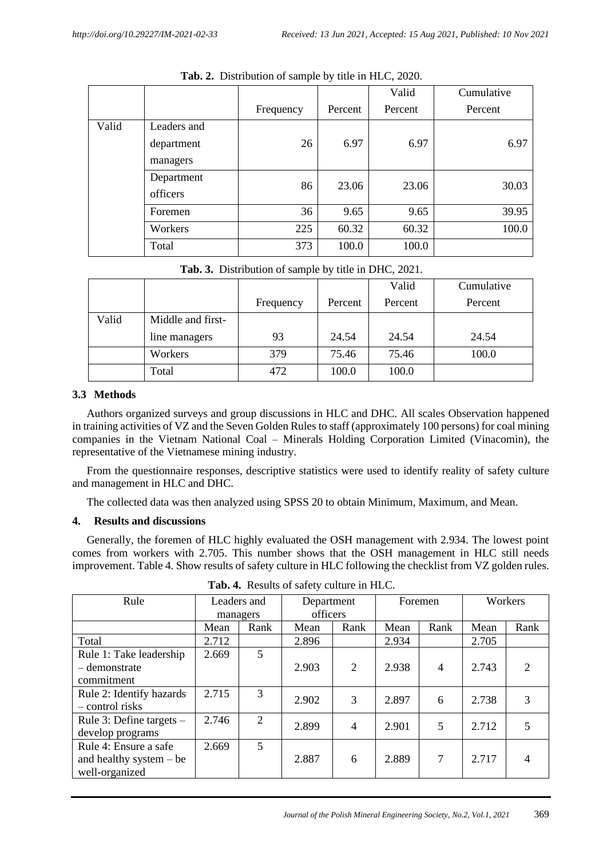|       |             |           |         | Valid   | Cumulative |
|-------|-------------|-----------|---------|---------|------------|
|       |             | Frequency | Percent | Percent | Percent    |
| Valid | Leaders and |           |         |         |            |
|       | department  | 26        | 6.97    | 6.97    | 6.97       |
|       | managers    |           |         |         |            |
|       | Department  | 86        | 23.06   | 23.06   | 30.03      |
|       | officers    |           |         |         |            |
|       | Foremen     | 36        | 9.65    | 9.65    | 39.95      |
|       | Workers     | 225       | 60.32   | 60.32   | 100.0      |
|       | Total       | 373       | 100.0   | 100.0   |            |

**Tab. 2.** Distribution of sample by title in HLC, 2020.

|  | Tab. 3. Distribution of sample by title in DHC, 2021. |  |  |  |  |
|--|-------------------------------------------------------|--|--|--|--|
|  |                                                       |  |  |  |  |

|       |                   |           |         | Valid   | Cumulative |
|-------|-------------------|-----------|---------|---------|------------|
|       |                   | Frequency | Percent | Percent | Percent    |
| Valid | Middle and first- |           |         |         |            |
|       | line managers     | 93        | 24.54   | 24.54   | 24.54      |
|       | Workers           | 379       | 75.46   | 75.46   | 100.0      |
|       | Total             | 472       | 100.0   | 100.0   |            |

# **3.3 Methods**

Authors organized surveys and group discussions in HLC and DHC. All scales Observation happened in training activities of VZ and the Seven Golden Rules to staff (approximately 100 persons) for coal mining companies in the Vietnam National Coal – Minerals Holding Corporation Limited (Vinacomin), the representative of the Vietnamese mining industry.

From the questionnaire responses, descriptive statistics were used to identify reality of safety culture and management in HLC and DHC.

The collected data was then analyzed using SPSS 20 to obtain Minimum, Maximum, and Mean.

# **4. Results and discussions**

Generally, the foremen of HLC highly evaluated the OSH management with 2.934. The lowest point comes from workers with 2.705. This number shows that the OSH management in HLC still needs improvement. Table 4. Show results of safety culture in HLC following the checklist from VZ golden rules.

| Rule                       | Leaders and |                | Department |      | Foremen |                | Workers |                |
|----------------------------|-------------|----------------|------------|------|---------|----------------|---------|----------------|
|                            | managers    |                | officers   |      |         |                |         |                |
|                            | Mean        | Rank           | Mean       | Rank | Mean    | Rank           | Mean    | Rank           |
| Total                      | 2.712       |                | 2.896      |      | 2.934   |                | 2.705   |                |
| Rule 1: Take leadership    | 2.669       | 5              |            |      |         |                |         |                |
| – demonstrate              |             |                | 2.903      | 2    | 2.938   | $\overline{4}$ | 2.743   | $\overline{2}$ |
| commitment                 |             |                |            |      |         |                |         |                |
| Rule 2: Identify hazards   | 2.715       | 3              | 2.902      | 3    | 2.897   | 6              | 2.738   | 3              |
| - control risks            |             |                |            |      |         |                |         |                |
| Rule 3: Define targets $-$ | 2.746       | $\overline{2}$ | 2.899      | 4    | 2.901   | 5              | 2.712   |                |
| develop programs           |             |                |            |      |         |                |         |                |
| Rule 4: Ensure a safe      | 2.669       | 5              |            |      |         |                |         |                |
| and healthy system $-$ be  |             |                | 2.887      | 6    | 2.889   | 7              | 2.717   | 4              |
| well-organized             |             |                |            |      |         |                |         |                |

**Tab. 4.** Results of safety culture in HLC.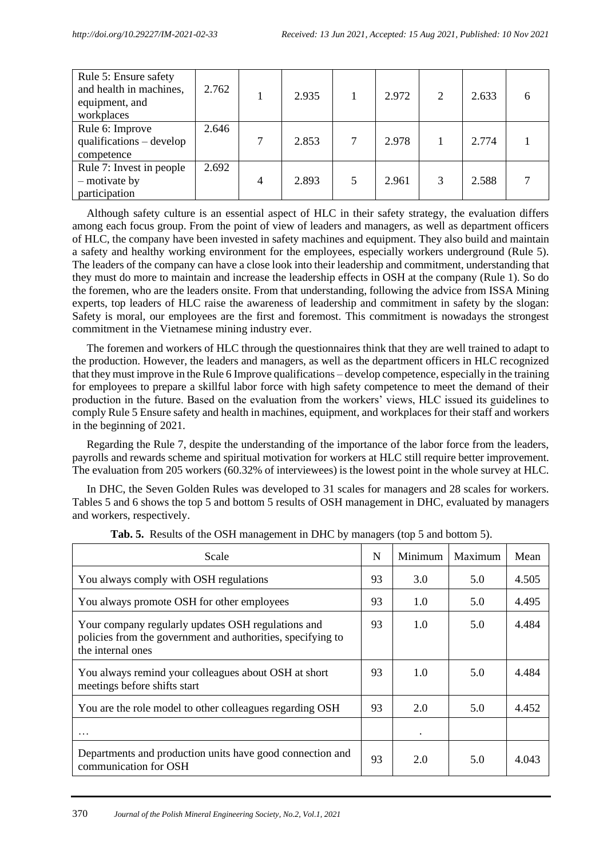| Rule 5: Ensure safety<br>and health in machines,<br>equipment, and<br>workplaces | 2.762 |                | 2.935 |   | 2.972 | 2 | 2.633 |  |
|----------------------------------------------------------------------------------|-------|----------------|-------|---|-------|---|-------|--|
| Rule 6: Improve<br>$qualifications - develop$<br>competence                      | 2.646 |                | 2.853 |   | 2.978 |   | 2.774 |  |
| Rule 7: Invest in people<br>- motivate by<br>participation                       | 2.692 | $\overline{4}$ | 2.893 | 5 | 2.961 | 3 | 2.588 |  |

Although safety culture is an essential aspect of HLC in their safety strategy, the evaluation differs among each focus group. From the point of view of leaders and managers, as well as department officers of HLC, the company have been invested in safety machines and equipment. They also build and maintain a safety and healthy working environment for the employees, especially workers underground (Rule 5). The leaders of the company can have a close look into their leadership and commitment, understanding that they must do more to maintain and increase the leadership effects in OSH at the company (Rule 1). So do the foremen, who are the leaders onsite. From that understanding, following the advice from ISSA Mining experts, top leaders of HLC raise the awareness of leadership and commitment in safety by the slogan: Safety is moral, our employees are the first and foremost. This commitment is nowadays the strongest commitment in the Vietnamese mining industry ever.

The foremen and workers of HLC through the questionnaires think that they are well trained to adapt to the production. However, the leaders and managers, as well as the department officers in HLC recognized that they must improve in the Rule 6 Improve qualifications – develop competence, especially in the training for employees to prepare a skillful labor force with high safety competence to meet the demand of their production in the future. Based on the evaluation from the workers' views, HLC issued its guidelines to comply Rule 5 Ensure safety and health in machines, equipment, and workplaces for their staff and workers in the beginning of 2021.

Regarding the Rule 7, despite the understanding of the importance of the labor force from the leaders, payrolls and rewards scheme and spiritual motivation for workers at HLC still require better improvement. The evaluation from 205 workers (60.32% of interviewees) is the lowest point in the whole survey at HLC.

In DHC, the Seven Golden Rules was developed to 31 scales for managers and 28 scales for workers. Tables 5 and 6 shows the top 5 and bottom 5 results of OSH management in DHC, evaluated by managers and workers, respectively.

| Scale                                                                                                                                  | N  | Minimum   | Maximum | Mean  |
|----------------------------------------------------------------------------------------------------------------------------------------|----|-----------|---------|-------|
| You always comply with OSH regulations                                                                                                 | 93 | 3.0       | 5.0     | 4.505 |
| You always promote OSH for other employees                                                                                             | 93 | 1.0       | 5.0     | 4.495 |
| Your company regularly updates OSH regulations and<br>policies from the government and authorities, specifying to<br>the internal ones | 93 | 1.0       | 5.0     | 4.484 |
| You always remind your colleagues about OSH at short<br>meetings before shifts start                                                   | 93 | 1.0       | 5.0     | 4.484 |
| You are the role model to other colleagues regarding OSH                                                                               | 93 | 2.0       | 5.0     | 4.452 |
| .                                                                                                                                      |    | $\bullet$ |         |       |
| Departments and production units have good connection and<br>communication for OSH                                                     | 93 | 2.0       | 5.0     | 4.043 |

**Tab. 5.** Results of the OSH management in DHC by managers (top 5 and bottom 5).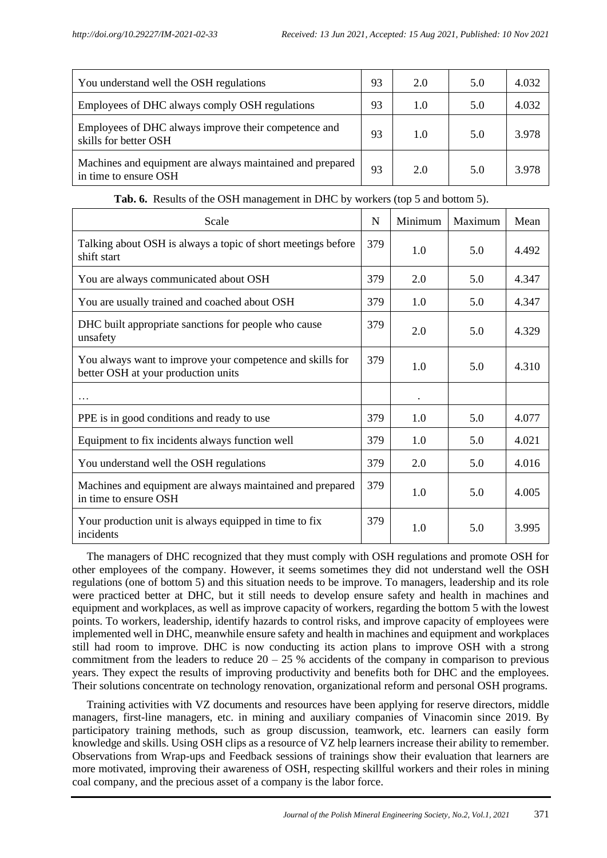| You understand well the OSH regulations                                            | 93 | 2.0 | 5.0 | 4.032 |
|------------------------------------------------------------------------------------|----|-----|-----|-------|
| Employees of DHC always comply OSH regulations                                     | 93 | 1.0 | 5.0 | 4.032 |
| Employees of DHC always improve their competence and<br>skills for better OSH      | 93 | 1.0 | 5.0 | 3.978 |
| Machines and equipment are always maintained and prepared<br>in time to ensure OSH | 93 | 2.0 | 5.0 | 3.978 |

| Scale                                                                                            | N   | Minimum   | Maximum | Mean  |
|--------------------------------------------------------------------------------------------------|-----|-----------|---------|-------|
| Talking about OSH is always a topic of short meetings before<br>shift start                      | 379 | 1.0       | 5.0     | 4.492 |
| You are always communicated about OSH                                                            | 379 | 2.0       | 5.0     | 4.347 |
| You are usually trained and coached about OSH                                                    | 379 | 1.0       | 5.0     | 4.347 |
| DHC built appropriate sanctions for people who cause<br>unsafety                                 | 379 | 2.0       | 5.0     | 4.329 |
| You always want to improve your competence and skills for<br>better OSH at your production units | 379 | 1.0       | 5.0     | 4.310 |
|                                                                                                  |     | $\bullet$ |         |       |
| PPE is in good conditions and ready to use                                                       | 379 | 1.0       | 5.0     | 4.077 |
| Equipment to fix incidents always function well                                                  | 379 | 1.0       | 5.0     | 4.021 |
| You understand well the OSH regulations                                                          | 379 | 2.0       | 5.0     | 4.016 |
| Machines and equipment are always maintained and prepared<br>in time to ensure OSH               | 379 | 1.0       | 5.0     | 4.005 |
| Your production unit is always equipped in time to fix<br>incidents                              | 379 | 1.0       | 5.0     | 3.995 |

# **Tab. 6.** Results of the OSH management in DHC by workers (top 5 and bottom 5).

The managers of DHC recognized that they must comply with OSH regulations and promote OSH for other employees of the company. However, it seems sometimes they did not understand well the OSH regulations (one of bottom 5) and this situation needs to be improve. To managers, leadership and its role were practiced better at DHC, but it still needs to develop ensure safety and health in machines and equipment and workplaces, as well as improve capacity of workers, regarding the bottom 5 with the lowest points. To workers, leadership, identify hazards to control risks, and improve capacity of employees were implemented well in DHC, meanwhile ensure safety and health in machines and equipment and workplaces still had room to improve. DHC is now conducting its action plans to improve OSH with a strong commitment from the leaders to reduce  $20 - 25$  % accidents of the company in comparison to previous years. They expect the results of improving productivity and benefits both for DHC and the employees. Their solutions concentrate on technology renovation, organizational reform and personal OSH programs.

Training activities with VZ documents and resources have been applying for reserve directors, middle managers, first-line managers, etc. in mining and auxiliary companies of Vinacomin since 2019. By participatory training methods, such as group discussion, teamwork, etc. learners can easily form knowledge and skills. Using OSH clips as a resource of VZ help learners increase their ability to remember. Observations from Wrap-ups and Feedback sessions of trainings show their evaluation that learners are more motivated, improving their awareness of OSH, respecting skillful workers and their roles in mining coal company, and the precious asset of a company is the labor force.